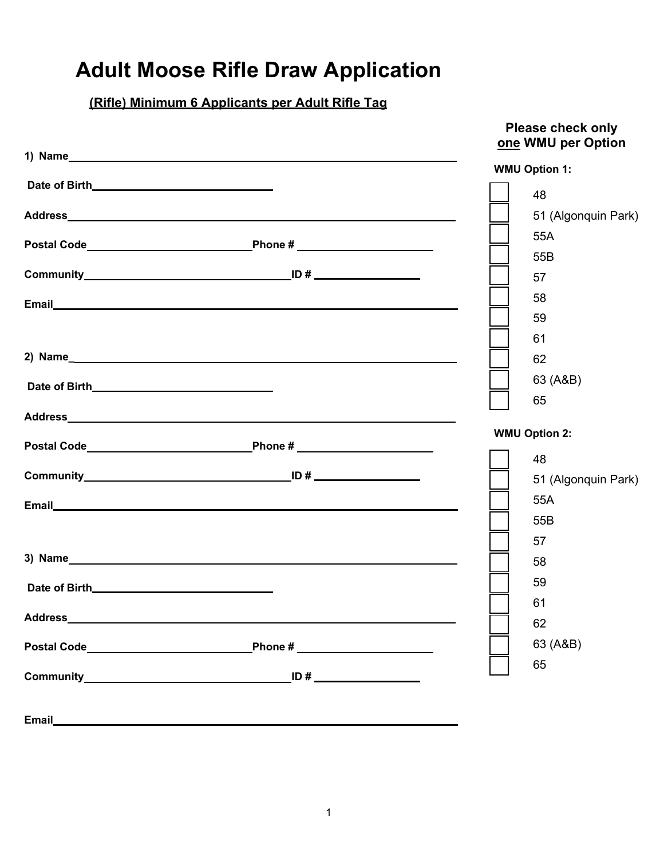## **Adult Moose Rifle Draw Application**

## **(Rifle) Minimum 6 Applicants per Adult Rifle Tag**

|                                                                                                                                                                                                                                      | <b>Please check only</b><br>one WMU per Option |
|--------------------------------------------------------------------------------------------------------------------------------------------------------------------------------------------------------------------------------------|------------------------------------------------|
|                                                                                                                                                                                                                                      | <b>WMU Option 1:</b>                           |
|                                                                                                                                                                                                                                      | 48                                             |
| Address <b>Address Address</b>                                                                                                                                                                                                       | 51 (Algonquin Park)                            |
|                                                                                                                                                                                                                                      | 55A                                            |
|                                                                                                                                                                                                                                      | 55B                                            |
|                                                                                                                                                                                                                                      | 57                                             |
|                                                                                                                                                                                                                                      | 58                                             |
|                                                                                                                                                                                                                                      | 59                                             |
|                                                                                                                                                                                                                                      | 61                                             |
|                                                                                                                                                                                                                                      | 62                                             |
|                                                                                                                                                                                                                                      | 63 (A&B)                                       |
|                                                                                                                                                                                                                                      | 65                                             |
|                                                                                                                                                                                                                                      |                                                |
|                                                                                                                                                                                                                                      | <b>WMU Option 2:</b>                           |
|                                                                                                                                                                                                                                      | 48                                             |
|                                                                                                                                                                                                                                      | 51 (Algonquin Park)                            |
|                                                                                                                                                                                                                                      | 55A                                            |
|                                                                                                                                                                                                                                      | 55B                                            |
|                                                                                                                                                                                                                                      | 57                                             |
| 3) Name experience and the second contract of the second contract of the second contract of the second contract of the second contract of the second contract of the second contract of the second contract of the second cont       | 58                                             |
|                                                                                                                                                                                                                                      | 59                                             |
| Address and the contract of the contract of the contract of the contract of the contract of the contract of the contract of the contract of the contract of the contract of the contract of the contract of the contract of th       | 61                                             |
|                                                                                                                                                                                                                                      | 62                                             |
| Phone # ______________________                                                                                                                                                                                                       | 63 (A&B)                                       |
|                                                                                                                                                                                                                                      | 65                                             |
|                                                                                                                                                                                                                                      |                                                |
| Email <b>Exercise Contract Contract Contract Contract Contract Contract Contract Contract Contract Contract Contract Contract Contract Contract Contract Contract Contract Contract Contract Contract Contract Contract Contract</b> |                                                |